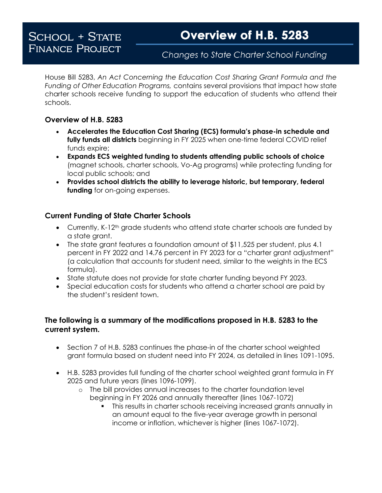## Changes to State Charter School Funding

House Bill 5283, *An Act Concerning the Education Cost Sharing Grant Formula and the Funding of Other Education Programs,* contains several provisions that impact how state charter schools receive funding to support the education of students who attend their schools.

## **Overview of H.B. 5283**

- **Accelerates the Education Cost Sharing (ECS) formula's phase-in schedule and fully funds all districts** beginning in FY 2025 when one-time federal COVID relief funds expire;
- **Expands ECS weighted funding to students attending public schools of choice**  (magnet schools, charter schools, Vo-Ag programs) while protecting funding for local public schools; and
- **Provides school districts the ability to leverage historic, but temporary, federal funding** for on-going expenses.

## **Current Funding of State Charter Schools**

- Currently, K-12<sup>th</sup> grade students who attend state charter schools are funded by a state grant.
- The state grant features a foundation amount of \$11,525 per student, plus 4.1 percent in FY 2022 and 14.76 percent in FY 2023 for a "charter grant adjustment" (a calculation that accounts for student need, similar to the weights in the ECS formula).
- State statute does not provide for state charter funding beyond FY 2023.
- Special education costs for students who attend a charter school are paid by the student's resident town.

## **The following is a summary of the modifications proposed in H.B. 5283 to the current system.**

- Section 7 of H.B. 5283 continues the phase-in of the charter school weighted grant formula based on student need into FY 2024, as detailed in lines 1091-1095.
- H.B. 5283 provides full funding of the charter school weighted grant formula in FY 2025 and future years (lines 1096-1099).
	- o The bill provides annual increases to the charter foundation level beginning in FY 2026 and annually thereafter (lines 1067-1072)
		- This results in charter schools receiving increased grants annually in an amount equal to the five-year average growth in personal income or inflation, whichever is higher (lines 1067-1072).